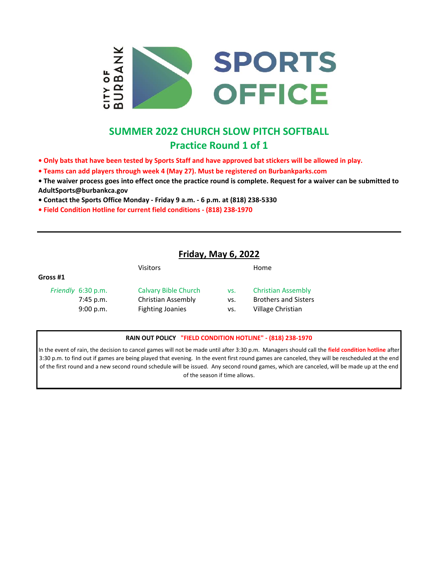

# **SUMMER 2022 CHURCH SLOW PITCH SOFTBALL Practice Round 1 of 1**

- **Only bats that have been tested by Sports Staff and have approved bat stickers will be allowed in play.**
- **Teams can add players through week 4 (May 27). Must be registered on Burbankparks.com**
- **The waiver process goes into effect once the practice round is complete. Request for a waiver can be submitted to AdultSports@burbankca.gov**
- **Contact the Sports Office Monday Friday 9 a.m. 6 p.m. at (818) 238-5330**
- **Field Condition Hotline for current field conditions (818) 238-1970**

### **Friday, May 6, 2022**

|          |                    | Visitors                    |     | Home                        |
|----------|--------------------|-----------------------------|-----|-----------------------------|
| Gross #1 |                    |                             |     |                             |
|          | Friendly 6:30 p.m. | <b>Calvary Bible Church</b> | VS. | <b>Christian Assembly</b>   |
|          | $7:45$ p.m.        | Christian Assembly          | VS. | <b>Brothers and Sisters</b> |
|          | 9:00 p.m.          | <b>Fighting Joanies</b>     | vs. | Village Christian           |
|          |                    |                             |     |                             |

#### **RAIN OUT POLICY "FIELD CONDITION HOTLINE" - (818) 238-1970**

In the event of rain, the decision to cancel games will not be made until after 3:30 p.m. Managers should call the **field condition hotline** after 3:30 p.m. to find out if games are being played that evening. In the event first round games are canceled, they will be rescheduled at the end of the first round and a new second round schedule will be issued. Any second round games, which are canceled, will be made up at the end of the season if time allows.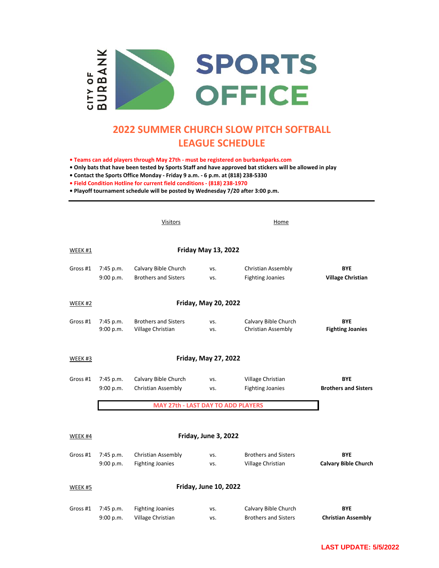

## **2022 SUMMER CHURCH SLOW PITCH SOFTBALL LEAGUE SCHEDULE**

**• Teams can add players through May 27th - must be registered on burbankparks.com**

**• Only bats that have been tested by Sports Staff and have approved bat stickers will be allowed in play**

**• Contact the Sports Office Monday - Friday 9 a.m. - 6 p.m. at (818) 238-5330**

**• Field Condition Hotline for current field conditions - (818) 238-1970**

**• Playoff tournament schedule will be posted by Wednesday 7/20 after 3:00 p.m.**

Visitors Home WEEK #1 Gross #1 7:45 p.m. Calvary Bible Church vs. Christian Assembly **BYE** 9:00 p.m. Brothers and Sisters vs. Fighting Joanies **Village Christian** WEEK #2 Gross #1 7:45 p.m. Brothers and Sisters vs. Calvary Bible Church **BYE** 9:00 p.m. Village Christian vs. Christian Assembly **Fighting Joanies** WEEK #3 Gross #1 7:45 p.m. Calvary Bible Church vs. Village Christian **BYE** 9:00 p.m. Christian Assembly vs. Fighting Joanies **Brothers and Sisters** WEEK #4 Gross #1 7:45 p.m. Christian Assembly vs. Brothers and Sisters **BYE** 9:00 p.m. Fighting Joanies vs. Village Christian **Calvary Bible Church** WEEK #5 Gross #1 7:45 p.m. Fighting Joanies vs. Calvary Bible Church **BYE** 9:00 p.m. Village Christian vs. Brothers and Sisters **Christian Assembly Friday, May 20, 2022 Friday, May 27, 2022 Friday May 13, 2022 MAY 27th - LAST DAY TO ADD PLAYERS Friday, June 3, 2022 Friday, June 10, 2022**